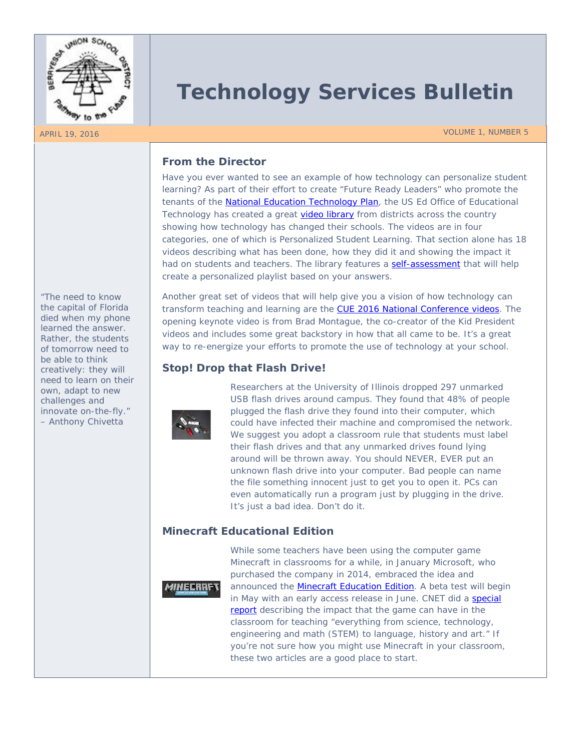

*"The need to know the capital of Florida died when my phone learned the answer. Rather, the students of tomorrow need to be able to think creatively: they will need to learn on their own, adapt to new challenges and innovate on-the-fly." – Anthony Chivetta*

# **Technology Services Bulletin**

APRIL 19, 2016 VOLUME 1, NUMBER 5

# **From the Director**

Have you ever wanted to see an example of how technology can personalize student learning? As part of their effort to create "Future Ready Leaders" who promote the tenants of the [National Education Technology Plan,](http://tech.ed.gov/netp/) the US Ed Office of Educational Technology has created a great [video library](http://tech.ed.gov/assessment/leaders/?action=full-video-library) from districts across the country showing how technology has changed their schools. The videos are in four categories, one of which is Personalized Student Learning. That section alone has 18 videos describing what has been done, how they did it and showing the impact it had on students and teachers. The library features a [self-assessment](http://tech.ed.gov/assessment/leaders/) that will help create a personalized playlist based on your answers.

Another great set of videos that will help give you a vision of how technology can transform teaching and learning are the [CUE 2016 National Conference videos.](https://www.youtube.com/playlist?list=PLseblIYonVmyiXqHTQo33POj_KGrJsJJJ) The opening keynote video is from Brad Montague, the co-creator of the Kid President videos and includes some great backstory in how that all came to be. It's a great way to re-energize your efforts to promote the use of technology at your school.

# **Stop! Drop that Flash Drive!**



Researchers at the University of Illinois dropped 297 unmarked USB flash drives around campus. They found that 48% of people plugged the flash drive they found into their computer, which could have infected their machine and compromised the network. We suggest you adopt a classroom rule that students must label their flash drives and that any unmarked drives found lying around will be thrown away. You should NEVER, EVER put an unknown flash drive into your computer. Bad people can name the file something innocent just to get you to open it. PCs can even automatically run a program just by plugging in the drive. It's just a bad idea. Don't do it.

# **Minecraft Educational Edition**



While some teachers have been using the computer game Minecraft in classrooms for a while, in January Microsoft, who purchased the company in 2014, embraced the idea and announced the **Minecraft Education Edition**. A beta test will begin in May with an early access release in June. CNET did a special [report](http://www.cnet.com/special-reports/minecraft/mindcraft-helping-students-learn) describing the impact that the game can have in the classroom for teaching "everything from science, technology, engineering and math (STEM) to language, history and art." If you're not sure how you might use Minecraft in your classroom, these two articles are a good place to start.